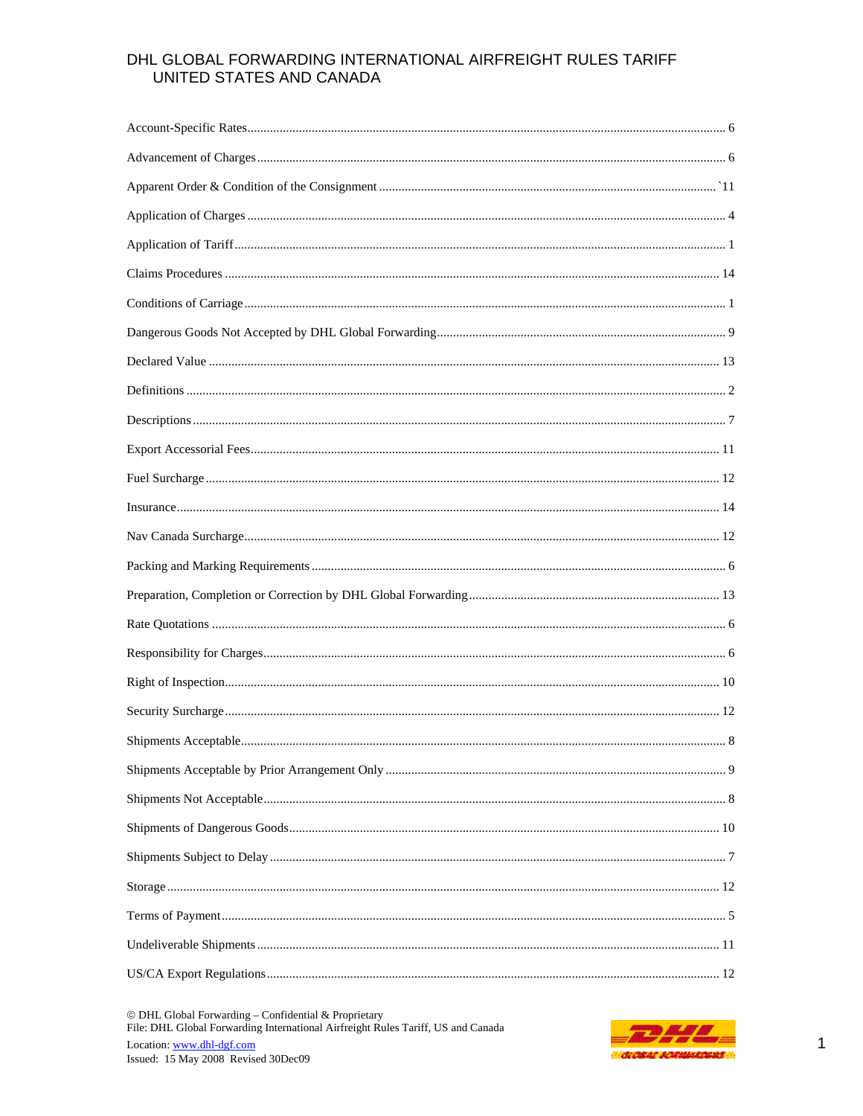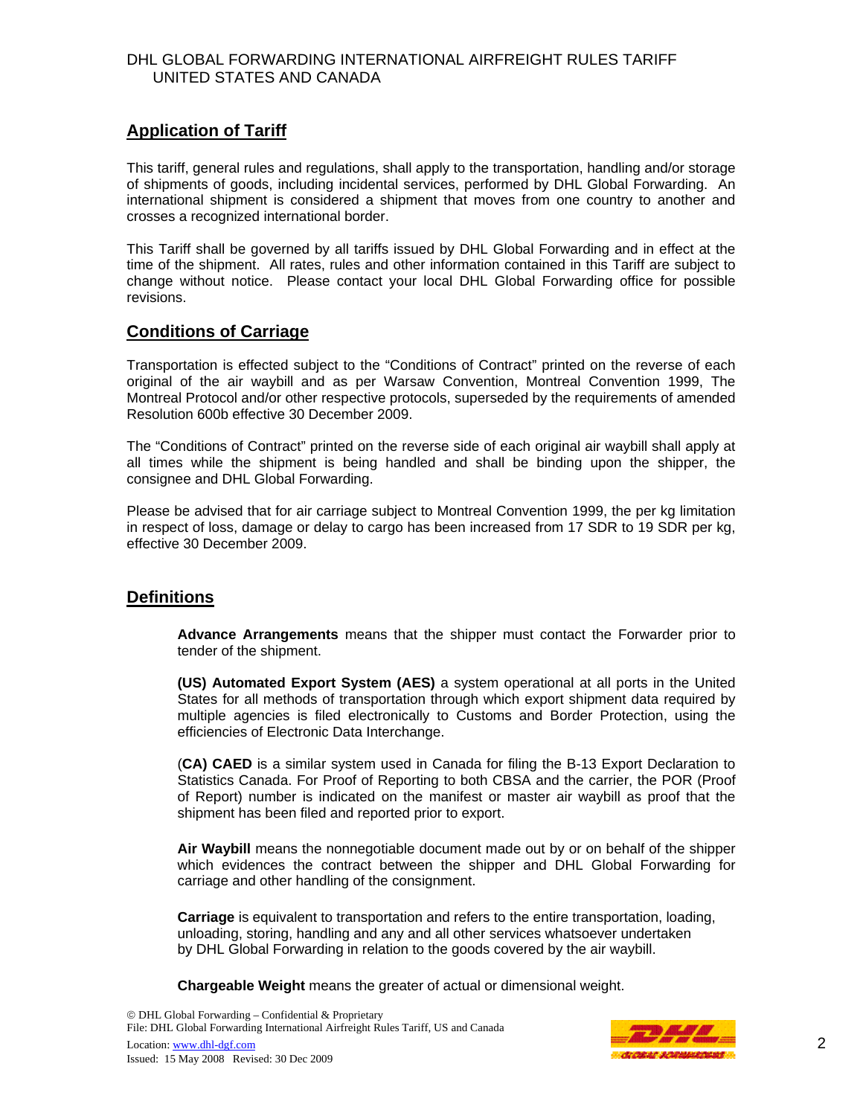# **Application of Tariff**

This tariff, general rules and regulations, shall apply to the transportation, handling and/or storage of shipments of goods, including incidental services, performed by DHL Global Forwarding. An international shipment is considered a shipment that moves from one country to another and crosses a recognized international border.

This Tariff shall be governed by all tariffs issued by DHL Global Forwarding and in effect at the time of the shipment. All rates, rules and other information contained in this Tariff are subject to change without notice. Please contact your local DHL Global Forwarding office for possible revisions.

## **Conditions of Carriage**

Transportation is effected subject to the "Conditions of Contract" printed on the reverse of each original of the air waybill and as per Warsaw Convention, Montreal Convention 1999, The Montreal Protocol and/or other respective protocols, superseded by the requirements of amended Resolution 600b effective 30 December 2009.

The "Conditions of Contract" printed on the reverse side of each original air waybill shall apply at all times while the shipment is being handled and shall be binding upon the shipper, the consignee and DHL Global Forwarding.

Please be advised that for air carriage subject to Montreal Convention 1999, the per kg limitation in respect of loss, damage or delay to cargo has been increased from 17 SDR to 19 SDR per kg, effective 30 December 2009.

# **Definitions**

**Advance Arrangements** means that the shipper must contact the Forwarder prior to tender of the shipment.

**(US) Automated Export System (AES)** a system operational at all ports in the United States for all methods of transportation through which export shipment data required by multiple agencies is filed electronically to Customs and Border Protection, using the efficiencies of Electronic Data Interchange.

(**CA) CAED** is a similar system used in Canada for filing the B-13 Export Declaration to Statistics Canada. For Proof of Reporting to both CBSA and the carrier, the POR (Proof of Report) number is indicated on the manifest or master air waybill as proof that the shipment has been filed and reported prior to export.

**Air Waybill** means the nonnegotiable document made out by or on behalf of the shipper which evidences the contract between the shipper and DHL Global Forwarding for carriage and other handling of the consignment.

**Carriage** is equivalent to transportation and refers to the entire transportation, loading, unloading, storing, handling and any and all other services whatsoever undertaken by DHL Global Forwarding in relation to the goods covered by the air waybill.

**Chargeable Weight** means the greater of actual or dimensional weight.

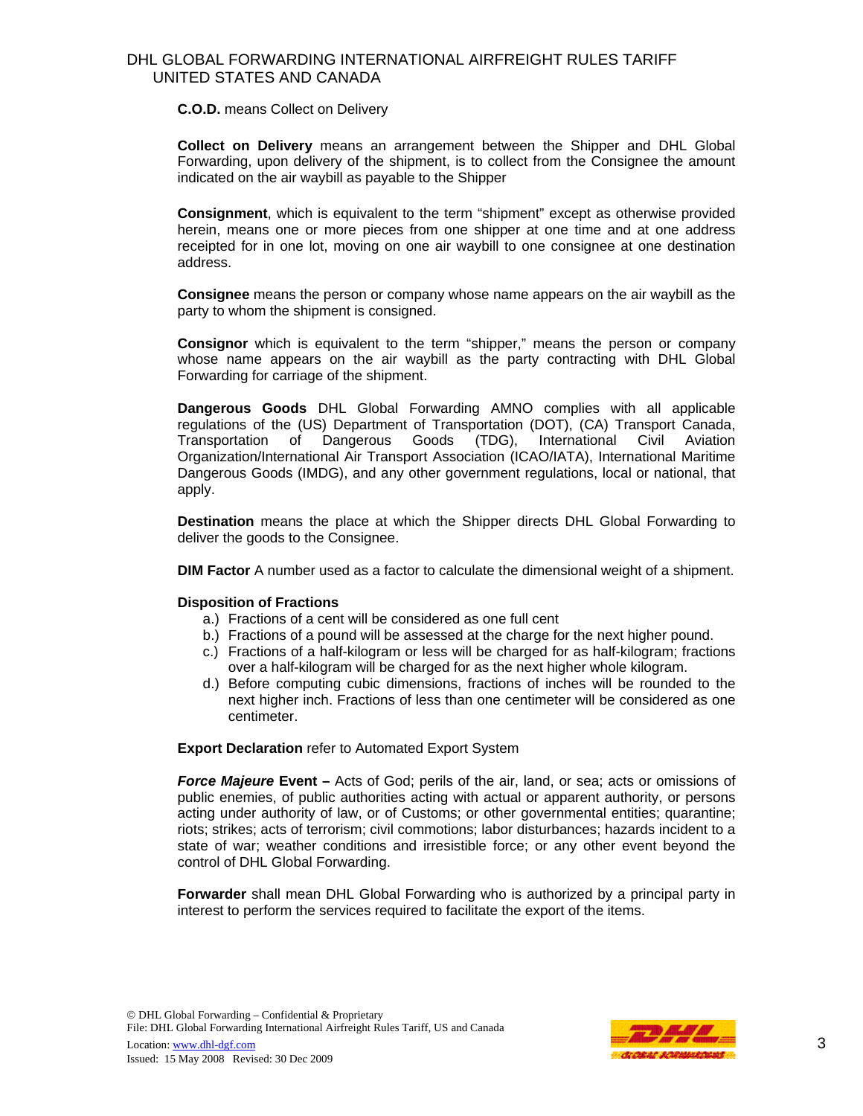**C.O.D.** means Collect on Delivery

**Collect on Delivery** means an arrangement between the Shipper and DHL Global Forwarding, upon delivery of the shipment, is to collect from the Consignee the amount indicated on the air waybill as payable to the Shipper

**Consignment**, which is equivalent to the term "shipment" except as otherwise provided herein, means one or more pieces from one shipper at one time and at one address receipted for in one lot, moving on one air waybill to one consignee at one destination address.

 **Consignee** means the person or company whose name appears on the air waybill as the party to whom the shipment is consigned.

**Consignor** which is equivalent to the term "shipper," means the person or company whose name appears on the air waybill as the party contracting with DHL Global Forwarding for carriage of the shipment.

**Dangerous Goods** DHL Global Forwarding AMNO complies with all applicable regulations of the (US) Department of Transportation (DOT), (CA) Transport Canada, Transportation of Dangerous Goods (TDG), International Civil Aviation Organization/International Air Transport Association (ICAO/IATA), International Maritime Dangerous Goods (IMDG), and any other government regulations, local or national, that apply.

**Destination** means the place at which the Shipper directs DHL Global Forwarding to deliver the goods to the Consignee.

**DIM Factor** A number used as a factor to calculate the dimensional weight of a shipment.

#### **Disposition of Fractions**

- a.) Fractions of a cent will be considered as one full cent
- b.) Fractions of a pound will be assessed at the charge for the next higher pound.
- c.) Fractions of a half-kilogram or less will be charged for as half-kilogram; fractions over a half-kilogram will be charged for as the next higher whole kilogram.
- d.) Before computing cubic dimensions, fractions of inches will be rounded to the next higher inch. Fractions of less than one centimeter will be considered as one centimeter.

**Export Declaration** refer to Automated Export System

*Force Majeure* **Event –** Acts of God; perils of the air, land, or sea; acts or omissions of public enemies, of public authorities acting with actual or apparent authority, or persons acting under authority of law, or of Customs; or other governmental entities; quarantine; riots; strikes; acts of terrorism; civil commotions; labor disturbances; hazards incident to a state of war; weather conditions and irresistible force; or any other event beyond the control of DHL Global Forwarding.

**Forwarder** shall mean DHL Global Forwarding who is authorized by a principal party in interest to perform the services required to facilitate the export of the items.

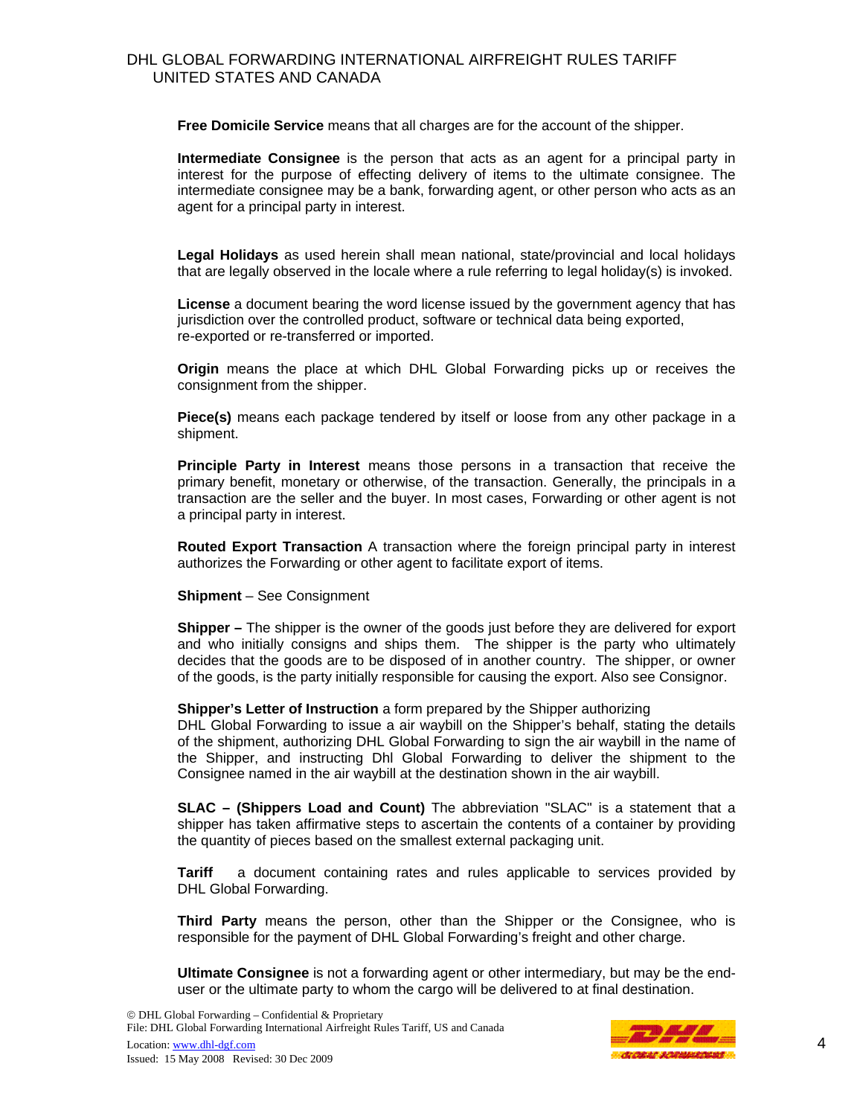**Free Domicile Service** means that all charges are for the account of the shipper.

**Intermediate Consignee** is the person that acts as an agent for a principal party in interest for the purpose of effecting delivery of items to the ultimate consignee. The intermediate consignee may be a bank, forwarding agent, or other person who acts as an agent for a principal party in interest.

**Legal Holidays** as used herein shall mean national, state/provincial and local holidays that are legally observed in the locale where a rule referring to legal holiday(s) is invoked.

**License** a document bearing the word license issued by the government agency that has jurisdiction over the controlled product, software or technical data being exported, re-exported or re-transferred or imported.

**Origin** means the place at which DHL Global Forwarding picks up or receives the consignment from the shipper.

**Piece(s)** means each package tendered by itself or loose from any other package in a shipment.

**Principle Party in Interest** means those persons in a transaction that receive the primary benefit, monetary or otherwise, of the transaction. Generally, the principals in a transaction are the seller and the buyer. In most cases, Forwarding or other agent is not a principal party in interest.

**Routed Export Transaction** A transaction where the foreign principal party in interest authorizes the Forwarding or other agent to facilitate export of items.

**Shipment** – See Consignment

**Shipper –** The shipper is the owner of the goods just before they are delivered for export and who initially consigns and ships them. The shipper is the party who ultimately decides that the goods are to be disposed of in another country. The shipper, or owner of the goods, is the party initially responsible for causing the export. Also see Consignor.

**Shipper's Letter of Instruction** a form prepared by the Shipper authorizing

DHL Global Forwarding to issue a air waybill on the Shipper's behalf, stating the details of the shipment, authorizing DHL Global Forwarding to sign the air waybill in the name of the Shipper, and instructing Dhl Global Forwarding to deliver the shipment to the Consignee named in the air waybill at the destination shown in the air waybill.

**SLAC – (Shippers Load and Count)** The abbreviation "SLAC" is a statement that a shipper has taken affirmative steps to ascertain the contents of a container by providing the quantity of pieces based on the smallest external packaging unit.

**Tariff** a document containing rates and rules applicable to services provided by DHL Global Forwarding.

**Third Party** means the person, other than the Shipper or the Consignee, who is responsible for the payment of DHL Global Forwarding's freight and other charge.

**Ultimate Consignee** is not a forwarding agent or other intermediary, but may be the enduser or the ultimate party to whom the cargo will be delivered to at final destination.

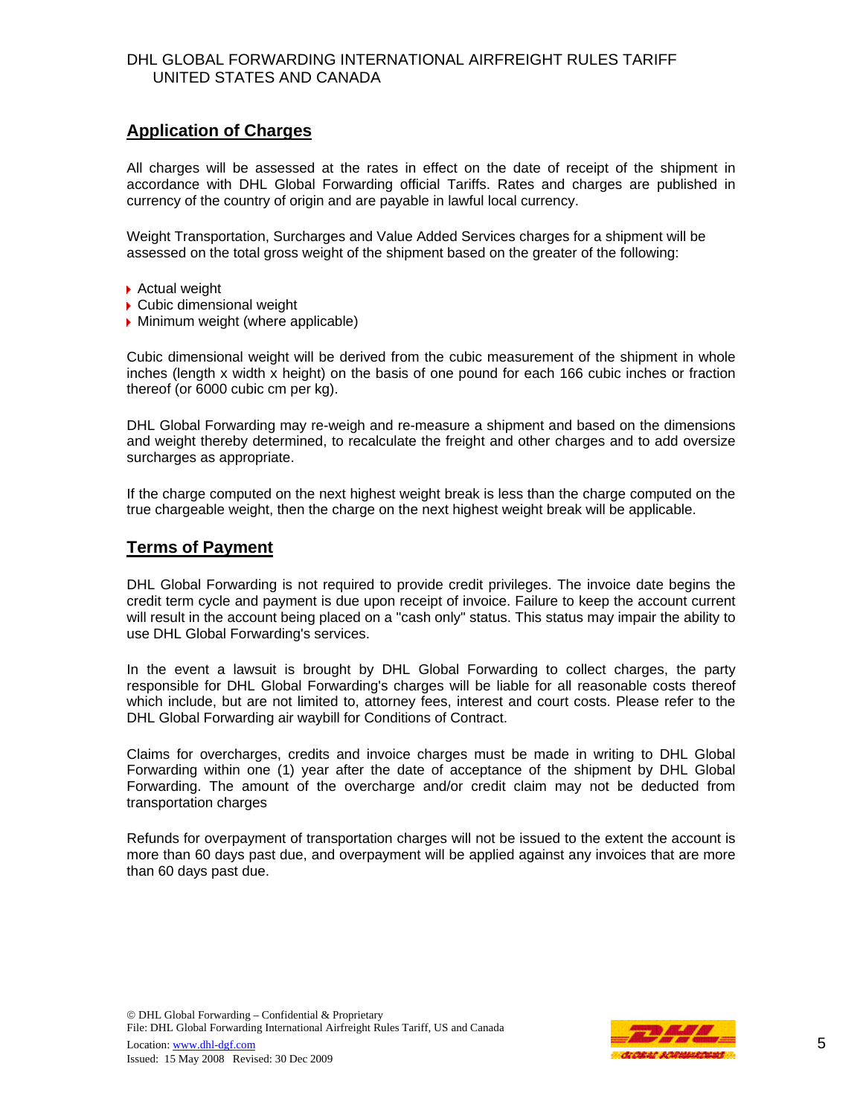# **Application of Charges**

All charges will be assessed at the rates in effect on the date of receipt of the shipment in accordance with DHL Global Forwarding official Tariffs. Rates and charges are published in currency of the country of origin and are payable in lawful local currency.

Weight Transportation, Surcharges and Value Added Services charges for a shipment will be assessed on the total gross weight of the shipment based on the greater of the following:

- ▶ Actual weight
- ▶ Cubic dimensional weight
- **Minimum weight (where applicable)**

Cubic dimensional weight will be derived from the cubic measurement of the shipment in whole inches (length x width x height) on the basis of one pound for each 166 cubic inches or fraction thereof (or 6000 cubic cm per kg).

DHL Global Forwarding may re-weigh and re-measure a shipment and based on the dimensions and weight thereby determined, to recalculate the freight and other charges and to add oversize surcharges as appropriate.

If the charge computed on the next highest weight break is less than the charge computed on the true chargeable weight, then the charge on the next highest weight break will be applicable.

## **Terms of Payment**

DHL Global Forwarding is not required to provide credit privileges. The invoice date begins the credit term cycle and payment is due upon receipt of invoice. Failure to keep the account current will result in the account being placed on a "cash only" status. This status may impair the ability to use DHL Global Forwarding's services.

In the event a lawsuit is brought by DHL Global Forwarding to collect charges, the party responsible for DHL Global Forwarding's charges will be liable for all reasonable costs thereof which include, but are not limited to, attorney fees, interest and court costs. Please refer to the DHL Global Forwarding air waybill for Conditions of Contract.

Claims for overcharges, credits and invoice charges must be made in writing to DHL Global Forwarding within one (1) year after the date of acceptance of the shipment by DHL Global Forwarding. The amount of the overcharge and/or credit claim may not be deducted from transportation charges

Refunds for overpayment of transportation charges will not be issued to the extent the account is more than 60 days past due, and overpayment will be applied against any invoices that are more than 60 days past due.

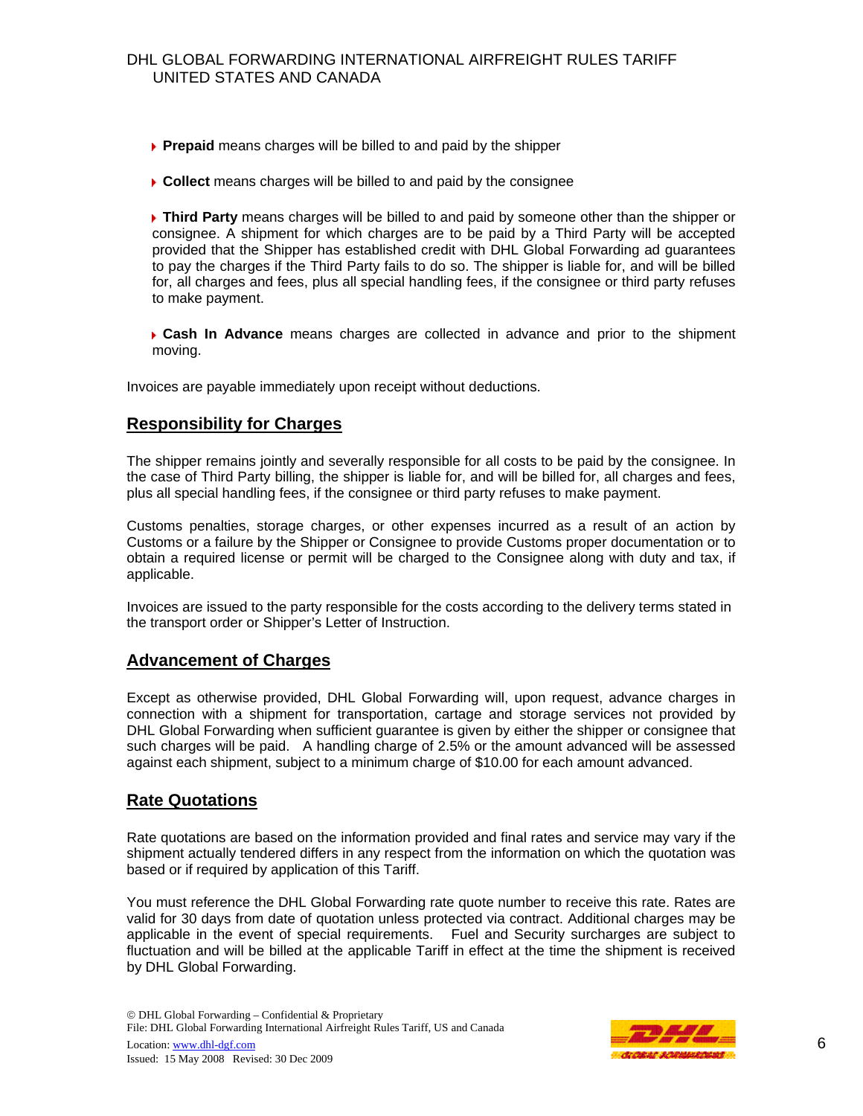- **Prepaid** means charges will be billed to and paid by the shipper
- **Collect** means charges will be billed to and paid by the consignee

**Third Party** means charges will be billed to and paid by someone other than the shipper or consignee. A shipment for which charges are to be paid by a Third Party will be accepted provided that the Shipper has established credit with DHL Global Forwarding ad guarantees to pay the charges if the Third Party fails to do so. The shipper is liable for, and will be billed for, all charges and fees, plus all special handling fees, if the consignee or third party refuses to make payment.

**Cash In Advance** means charges are collected in advance and prior to the shipment moving.

Invoices are payable immediately upon receipt without deductions.

# **Responsibility for Charges**

The shipper remains jointly and severally responsible for all costs to be paid by the consignee. In the case of Third Party billing, the shipper is liable for, and will be billed for, all charges and fees, plus all special handling fees, if the consignee or third party refuses to make payment.

Customs penalties, storage charges, or other expenses incurred as a result of an action by Customs or a failure by the Shipper or Consignee to provide Customs proper documentation or to obtain a required license or permit will be charged to the Consignee along with duty and tax, if applicable.

Invoices are issued to the party responsible for the costs according to the delivery terms stated in the transport order or Shipper's Letter of Instruction.

## **Advancement of Charges**

Except as otherwise provided, DHL Global Forwarding will, upon request, advance charges in connection with a shipment for transportation, cartage and storage services not provided by DHL Global Forwarding when sufficient guarantee is given by either the shipper or consignee that such charges will be paid. A handling charge of 2.5% or the amount advanced will be assessed against each shipment, subject to a minimum charge of \$10.00 for each amount advanced.

## **Rate Quotations**

Rate quotations are based on the information provided and final rates and service may vary if the shipment actually tendered differs in any respect from the information on which the quotation was based or if required by application of this Tariff.

You must reference the DHL Global Forwarding rate quote number to receive this rate. Rates are valid for 30 days from date of quotation unless protected via contract. Additional charges may be applicable in the event of special requirements. Fuel and Security surcharges are subject to fluctuation and will be billed at the applicable Tariff in effect at the time the shipment is received by DHL Global Forwarding.

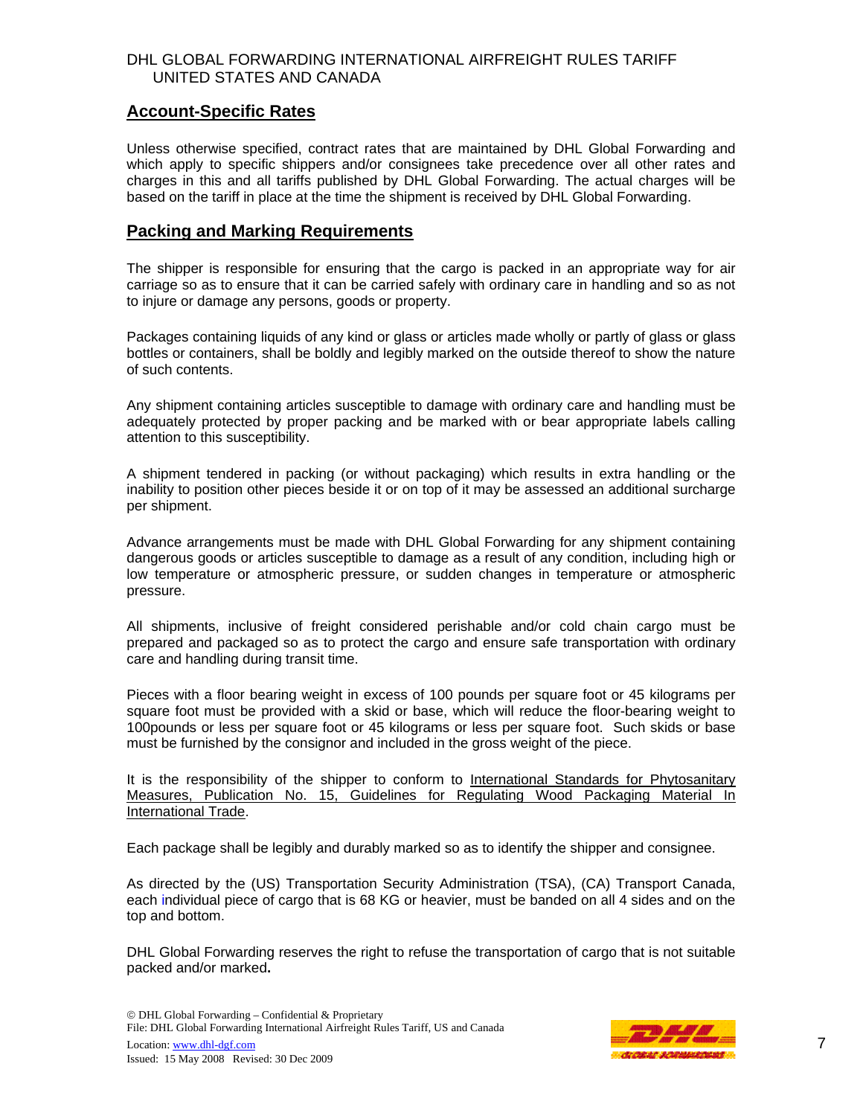## **Account-Specific Rates**

Unless otherwise specified, contract rates that are maintained by DHL Global Forwarding and which apply to specific shippers and/or consignees take precedence over all other rates and charges in this and all tariffs published by DHL Global Forwarding. The actual charges will be based on the tariff in place at the time the shipment is received by DHL Global Forwarding.

## **Packing and Marking Requirements**

The shipper is responsible for ensuring that the cargo is packed in an appropriate way for air carriage so as to ensure that it can be carried safely with ordinary care in handling and so as not to injure or damage any persons, goods or property.

Packages containing liquids of any kind or glass or articles made wholly or partly of glass or glass bottles or containers, shall be boldly and legibly marked on the outside thereof to show the nature of such contents.

Any shipment containing articles susceptible to damage with ordinary care and handling must be adequately protected by proper packing and be marked with or bear appropriate labels calling attention to this susceptibility.

A shipment tendered in packing (or without packaging) which results in extra handling or the inability to position other pieces beside it or on top of it may be assessed an additional surcharge per shipment.

Advance arrangements must be made with DHL Global Forwarding for any shipment containing dangerous goods or articles susceptible to damage as a result of any condition, including high or low temperature or atmospheric pressure, or sudden changes in temperature or atmospheric pressure.

All shipments, inclusive of freight considered perishable and/or cold chain cargo must be prepared and packaged so as to protect the cargo and ensure safe transportation with ordinary care and handling during transit time.

Pieces with a floor bearing weight in excess of 100 pounds per square foot or 45 kilograms per square foot must be provided with a skid or base, which will reduce the floor-bearing weight to 100pounds or less per square foot or 45 kilograms or less per square foot. Such skids or base must be furnished by the consignor and included in the gross weight of the piece.

It is the responsibility of the shipper to conform to International Standards for Phytosanitary Measures, Publication No. 15, Guidelines for Regulating Wood Packaging Material In International Trade.

Each package shall be legibly and durably marked so as to identify the shipper and consignee.

As directed by the (US) Transportation Security Administration (TSA), (CA) Transport Canada, each individual piece of cargo that is 68 KG or heavier, must be banded on all 4 sides and on the top and bottom.

DHL Global Forwarding reserves the right to refuse the transportation of cargo that is not suitable packed and/or marked**.**

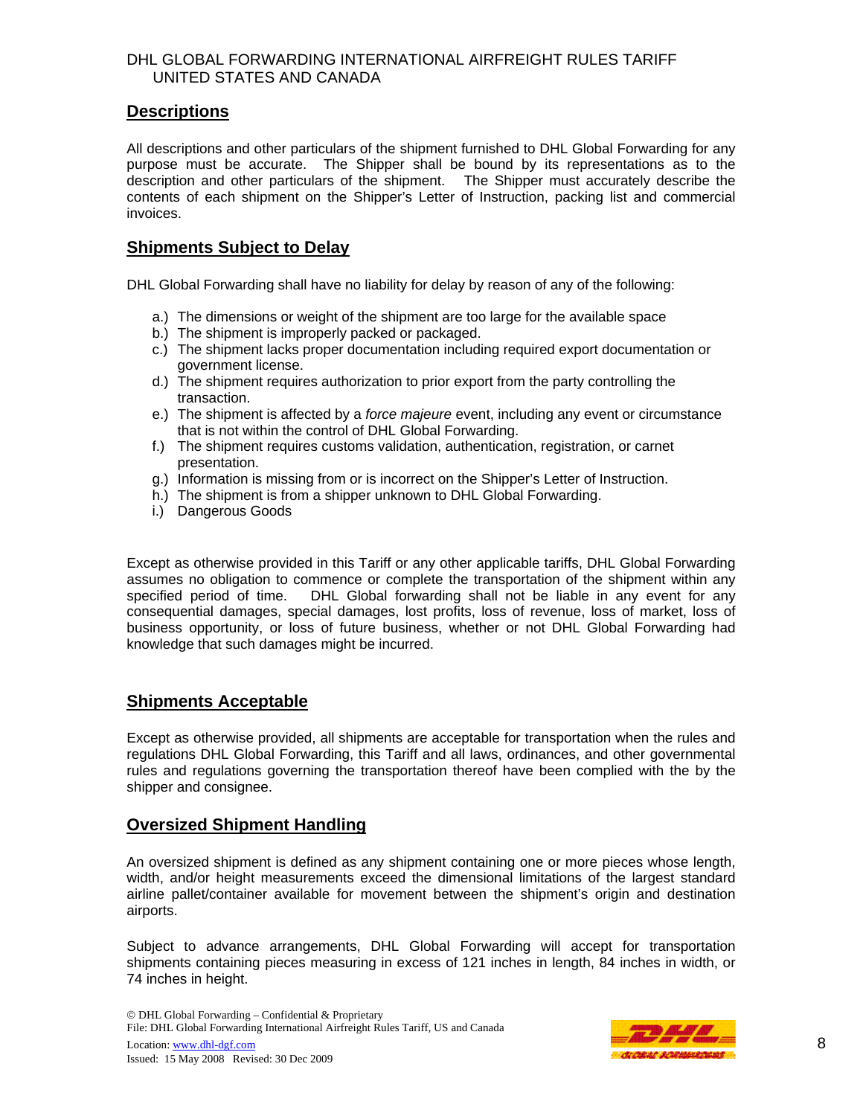## **Descriptions**

All descriptions and other particulars of the shipment furnished to DHL Global Forwarding for any purpose must be accurate. The Shipper shall be bound by its representations as to the description and other particulars of the shipment. The Shipper must accurately describe the contents of each shipment on the Shipper's Letter of Instruction, packing list and commercial invoices.

# **Shipments Subject to Delay**

DHL Global Forwarding shall have no liability for delay by reason of any of the following:

- a.) The dimensions or weight of the shipment are too large for the available space
- b.) The shipment is improperly packed or packaged.
- c.) The shipment lacks proper documentation including required export documentation or government license.
- d.) The shipment requires authorization to prior export from the party controlling the transaction.
- e.) The shipment is affected by a *force majeure* event, including any event or circumstance that is not within the control of DHL Global Forwarding.
- f.) The shipment requires customs validation, authentication, registration, or carnet presentation.
- g.) Information is missing from or is incorrect on the Shipper's Letter of Instruction.
- h.) The shipment is from a shipper unknown to DHL Global Forwarding.
- i.) Dangerous Goods

Except as otherwise provided in this Tariff or any other applicable tariffs, DHL Global Forwarding assumes no obligation to commence or complete the transportation of the shipment within any specified period of time. DHL Global forwarding shall not be liable in any event for any consequential damages, special damages, lost profits, loss of revenue, loss of market, loss of business opportunity, or loss of future business, whether or not DHL Global Forwarding had knowledge that such damages might be incurred.

# **Shipments Acceptable**

Except as otherwise provided, all shipments are acceptable for transportation when the rules and regulations DHL Global Forwarding, this Tariff and all laws, ordinances, and other governmental rules and regulations governing the transportation thereof have been complied with the by the shipper and consignee.

## **Oversized Shipment Handling**

An oversized shipment is defined as any shipment containing one or more pieces whose length, width, and/or height measurements exceed the dimensional limitations of the largest standard airline pallet/container available for movement between the shipment's origin and destination airports.

Subject to advance arrangements, DHL Global Forwarding will accept for transportation shipments containing pieces measuring in excess of 121 inches in length, 84 inches in width, or 74 inches in height.

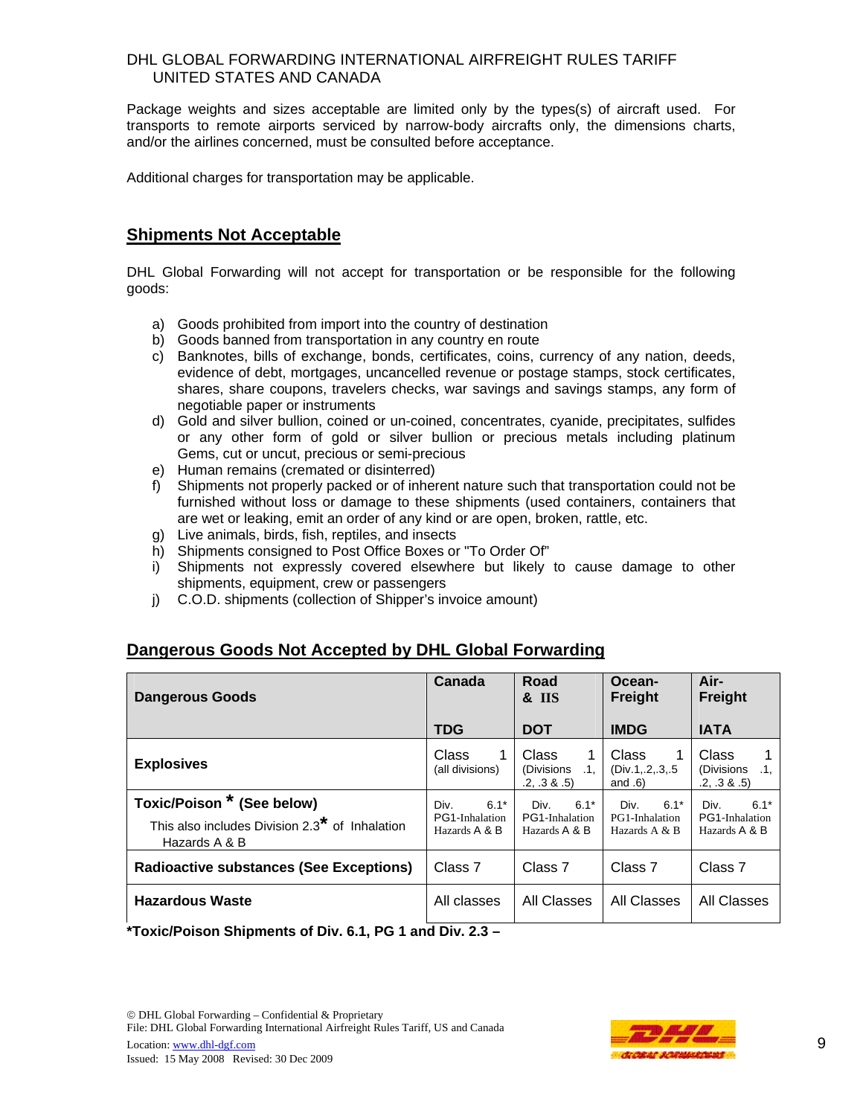Package weights and sizes acceptable are limited only by the types(s) of aircraft used. For transports to remote airports serviced by narrow-body aircrafts only, the dimensions charts, and/or the airlines concerned, must be consulted before acceptance.

Additional charges for transportation may be applicable.

# **Shipments Not Acceptable**

DHL Global Forwarding will not accept for transportation or be responsible for the following goods:

- a) Goods prohibited from import into the country of destination
- b) Goods banned from transportation in any country en route
- c) Banknotes, bills of exchange, bonds, certificates, coins, currency of any nation, deeds, evidence of debt, mortgages, uncancelled revenue or postage stamps, stock certificates, shares, share coupons, travelers checks, war savings and savings stamps, any form of negotiable paper or instruments
- d) Gold and silver bullion, coined or un-coined, concentrates, cyanide, precipitates, sulfides or any other form of gold or silver bullion or precious metals including platinum Gems, cut or uncut, precious or semi-precious
- e) Human remains (cremated or disinterred)
- f) Shipments not properly packed or of inherent nature such that transportation could not be furnished without loss or damage to these shipments (used containers, containers that are wet or leaking, emit an order of any kind or are open, broken, rattle, etc.
- g) Live animals, birds, fish, reptiles, and insects
- h) Shipments consigned to Post Office Boxes or "To Order Of"
- i) Shipments not expressly covered elsewhere but likely to cause damage to other shipments, equipment, crew or passengers
- j) C.O.D. shipments (collection of Shipper's invoice amount)

# **Dangerous Goods Not Accepted by DHL Global Forwarding**

| <b>Dangerous Goods</b>                                                                                    | Canada                                            | Road<br><b>&amp; IIS</b>                               | Ocean-<br><b>Freight</b>                          | Air-<br><b>Freight</b>                            |
|-----------------------------------------------------------------------------------------------------------|---------------------------------------------------|--------------------------------------------------------|---------------------------------------------------|---------------------------------------------------|
|                                                                                                           | <b>TDG</b>                                        | <b>DOT</b>                                             | <b>IMDG</b>                                       | <b>IATA</b>                                       |
| <b>Explosives</b>                                                                                         | <b>Class</b><br>1<br>(all divisions)              | <b>Class</b><br>1<br>(Divisions<br>.1.<br>.2, .3 & .5) | Class<br>1<br>(Div.1, .2, .3, .5)<br>and $.6)$    | <b>Class</b><br>(Divisions<br>.1.<br>.2, .3 & .5) |
| Toxic/Poison * (See below)<br>This also includes Division 2.3 <sup>*</sup> of Inhalation<br>Hazards A & B | $6.1*$<br>Div.<br>PG1-Inhalation<br>Hazards A & B | $6.1*$<br>Div.<br>PG1-Inhalation<br>Hazards A & B      | $6.1*$<br>Div.<br>PG1-Inhalation<br>Hazards A & B | $6.1*$<br>Div.<br>PG1-Inhalation<br>Hazards A & B |
| <b>Radioactive substances (See Exceptions)</b>                                                            | Class 7                                           | Class <sub>7</sub>                                     | Class 7                                           | Class 7                                           |
| <b>Hazardous Waste</b>                                                                                    | All classes                                       | All Classes                                            | All Classes                                       | All Classes                                       |
| *Taxia/Daisan Chinmants of Div. 6.4, DC 4 and Div. 2.2                                                    |                                                   |                                                        |                                                   |                                                   |

**\*Toxic/Poison Shipments of Div. 6.1, PG 1 and Div. 2.3 –**

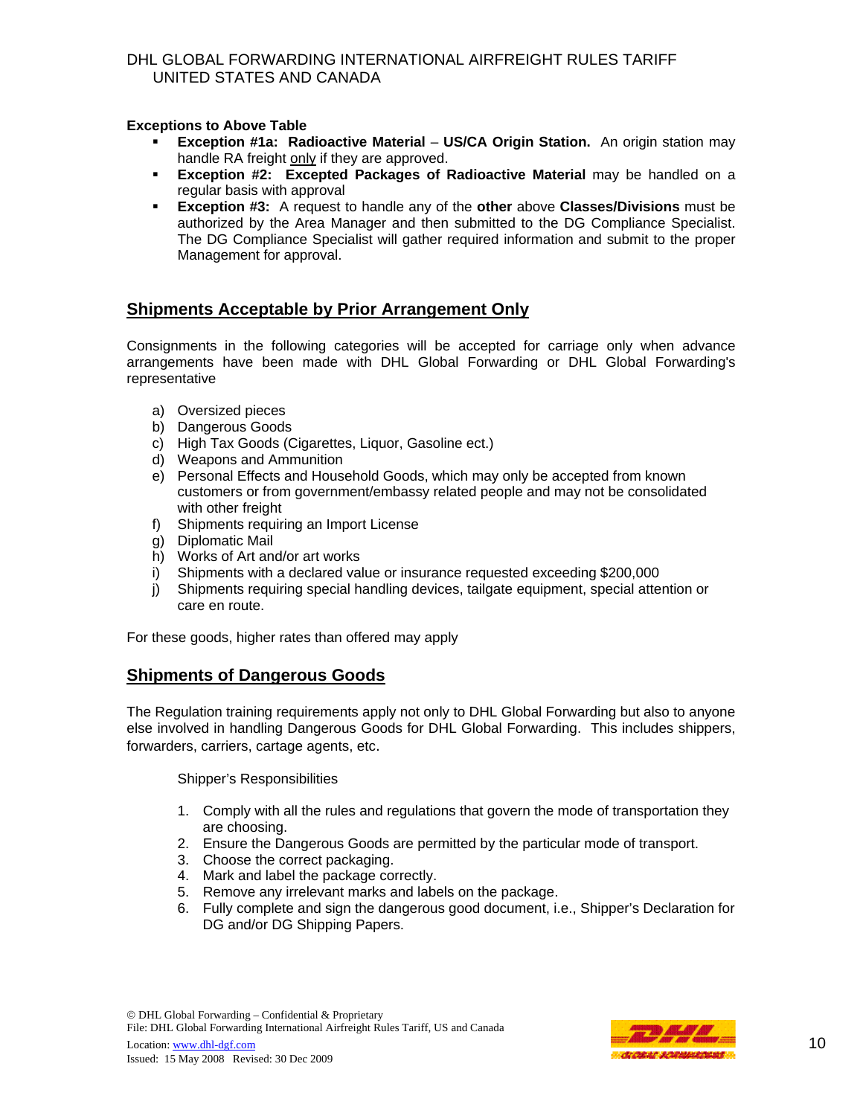#### **Exceptions to Above Table**

- **Exception #1a: Radioactive Material US/CA Origin Station.** An origin station may handle RA freight only if they are approved.
- **Exception #2: Excepted Packages of Radioactive Material** may be handled on a regular basis with approval
- **Exception #3:** A request to handle any of the **other** above **Classes/Divisions** must be authorized by the Area Manager and then submitted to the DG Compliance Specialist. The DG Compliance Specialist will gather required information and submit to the proper Management for approval.

## **Shipments Acceptable by Prior Arrangement Only**

Consignments in the following categories will be accepted for carriage only when advance arrangements have been made with DHL Global Forwarding or DHL Global Forwarding's representative

- a) Oversized pieces
- b) Dangerous Goods
- c) High Tax Goods (Cigarettes, Liquor, Gasoline ect.)
- d) Weapons and Ammunition
- e) Personal Effects and Household Goods, which may only be accepted from known customers or from government/embassy related people and may not be consolidated with other freight
- f) Shipments requiring an Import License
- g) Diplomatic Mail
- h) Works of Art and/or art works
- i) Shipments with a declared value or insurance requested exceeding \$200,000
- j) Shipments requiring special handling devices, tailgate equipment, special attention or care en route.

For these goods, higher rates than offered may apply

#### **Shipments of Dangerous Goods**

The Regulation training requirements apply not only to DHL Global Forwarding but also to anyone else involved in handling Dangerous Goods for DHL Global Forwarding. This includes shippers, forwarders, carriers, cartage agents, etc.

Shipper's Responsibilities

- 1. Comply with all the rules and regulations that govern the mode of transportation they are choosing.
- 2. Ensure the Dangerous Goods are permitted by the particular mode of transport.
- 3. Choose the correct packaging.
- 4. Mark and label the package correctly.
- 5. Remove any irrelevant marks and labels on the package.
- 6. Fully complete and sign the dangerous good document, i.e., Shipper's Declaration for DG and/or DG Shipping Papers.

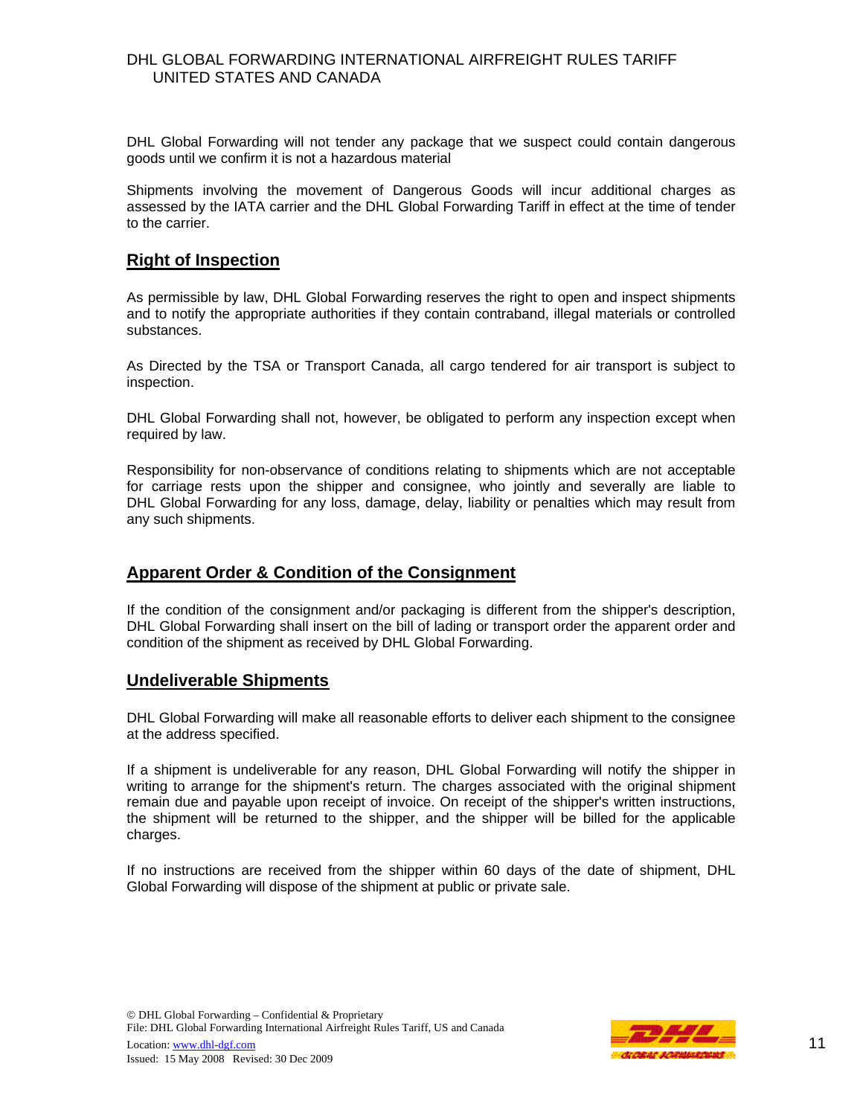DHL Global Forwarding will not tender any package that we suspect could contain dangerous goods until we confirm it is not a hazardous material

Shipments involving the movement of Dangerous Goods will incur additional charges as assessed by the IATA carrier and the DHL Global Forwarding Tariff in effect at the time of tender to the carrier.

#### **Right of Inspection**

As permissible by law, DHL Global Forwarding reserves the right to open and inspect shipments and to notify the appropriate authorities if they contain contraband, illegal materials or controlled substances.

As Directed by the TSA or Transport Canada, all cargo tendered for air transport is subject to inspection.

DHL Global Forwarding shall not, however, be obligated to perform any inspection except when required by law.

Responsibility for non-observance of conditions relating to shipments which are not acceptable for carriage rests upon the shipper and consignee, who jointly and severally are liable to DHL Global Forwarding for any loss, damage, delay, liability or penalties which may result from any such shipments.

## **Apparent Order & Condition of the Consignment**

If the condition of the consignment and/or packaging is different from the shipper's description, DHL Global Forwarding shall insert on the bill of lading or transport order the apparent order and condition of the shipment as received by DHL Global Forwarding.

#### **Undeliverable Shipments**

DHL Global Forwarding will make all reasonable efforts to deliver each shipment to the consignee at the address specified.

If a shipment is undeliverable for any reason, DHL Global Forwarding will notify the shipper in writing to arrange for the shipment's return. The charges associated with the original shipment remain due and payable upon receipt of invoice. On receipt of the shipper's written instructions, the shipment will be returned to the shipper, and the shipper will be billed for the applicable charges.

If no instructions are received from the shipper within 60 days of the date of shipment, DHL Global Forwarding will dispose of the shipment at public or private sale.

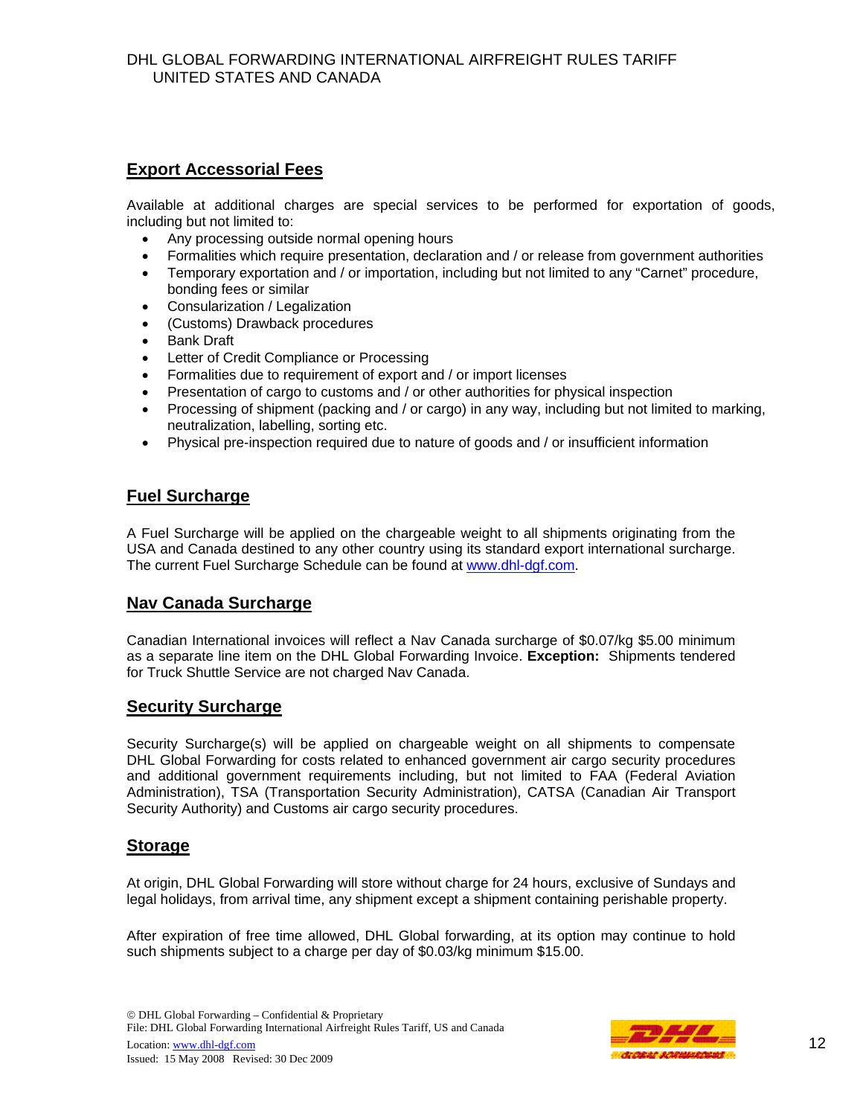# **Export Accessorial Fees**

Available at additional charges are special services to be performed for exportation of goods, including but not limited to:

- Any processing outside normal opening hours
- Formalities which require presentation, declaration and / or release from government authorities
- Temporary exportation and / or importation, including but not limited to any "Carnet" procedure, bonding fees or similar
- Consularization / Legalization
- (Customs) Drawback procedures
- **Bank Draft**
- Letter of Credit Compliance or Processing
- Formalities due to requirement of export and / or import licenses
- Presentation of cargo to customs and / or other authorities for physical inspection
- Processing of shipment (packing and / or cargo) in any way, including but not limited to marking, neutralization, labelling, sorting etc.
- Physical pre-inspection required due to nature of goods and / or insufficient information

# **Fuel Surcharge**

A Fuel Surcharge will be applied on the chargeable weight to all shipments originating from the USA and Canada destined to any other country using its standard export international surcharge. The current Fuel Surcharge Schedule can be found at www.dhl-dgf.com.

# **Nav Canada Surcharge**

Canadian International invoices will reflect a Nav Canada surcharge of \$0.07/kg \$5.00 minimum as a separate line item on the DHL Global Forwarding Invoice. **Exception:** Shipments tendered for Truck Shuttle Service are not charged Nav Canada.

## **Security Surcharge**

Security Surcharge(s) will be applied on chargeable weight on all shipments to compensate DHL Global Forwarding for costs related to enhanced government air cargo security procedures and additional government requirements including, but not limited to FAA (Federal Aviation Administration), TSA (Transportation Security Administration), CATSA (Canadian Air Transport Security Authority) and Customs air cargo security procedures.

## **Storage**

At origin, DHL Global Forwarding will store without charge for 24 hours, exclusive of Sundays and legal holidays, from arrival time, any shipment except a shipment containing perishable property.

After expiration of free time allowed, DHL Global forwarding, at its option may continue to hold such shipments subject to a charge per day of \$0.03/kg minimum \$15.00.

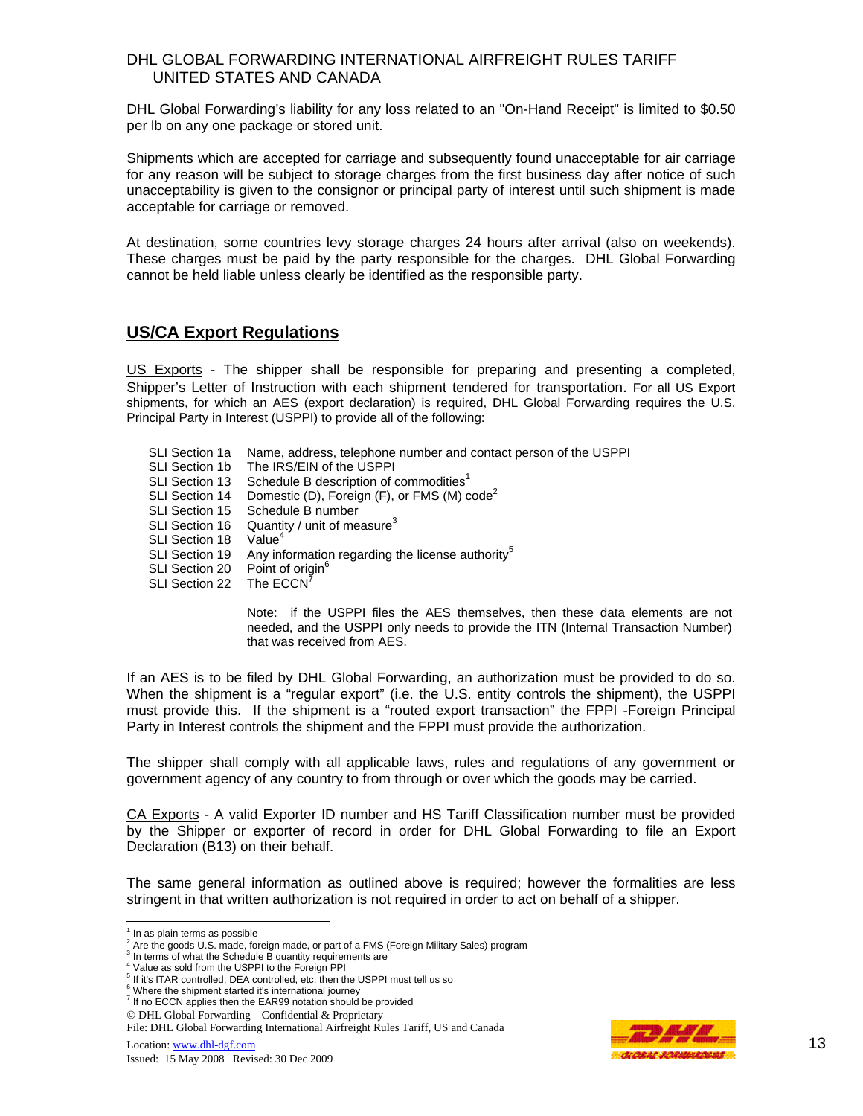DHL Global Forwarding's liability for any loss related to an "On-Hand Receipt" is limited to \$0.50 per lb on any one package or stored unit.

Shipments which are accepted for carriage and subsequently found unacceptable for air carriage for any reason will be subject to storage charges from the first business day after notice of such unacceptability is given to the consignor or principal party of interest until such shipment is made acceptable for carriage or removed.

At destination, some countries levy storage charges 24 hours after arrival (also on weekends). These charges must be paid by the party responsible for the charges. DHL Global Forwarding cannot be held liable unless clearly be identified as the responsible party.

## **US/CA Export Regulations**

US Exports - The shipper shall be responsible for preparing and presenting a completed, Shipper's Letter of Instruction with each shipment tendered for transportation. For all US Export shipments, for which an AES (export declaration) is required, DHL Global Forwarding requires the U.S. Principal Party in Interest (USPPI) to provide all of the following:

SLI Section 1a Name, address, telephone number and contact person of the USPPI SLI Section 1b The IRS/EIN of the USPPI SLI Section 13 Schedule B description of commodities $1$ SLI Section 14 Domestic (D), Foreign (F), or FMS (M) code<sup>2</sup> SLI Section 15 Schedule B number SLI Section 16 Quantity / unit of measure $3$ SLI Section 18 Value<sup>4</sup> SLI Section 19 Any information regarding the license authority<sup>5</sup> SLI Section 20 Point of origin<sup>6</sup> SLI Section 22 The ECCN<sup>7</sup>

> Note: if the USPPI files the AES themselves, then these data elements are not needed, and the USPPI only needs to provide the ITN (Internal Transaction Number) that was received from AES.

If an AES is to be filed by DHL Global Forwarding, an authorization must be provided to do so. When the shipment is a "regular export" (i.e. the U.S. entity controls the shipment), the USPPI must provide this. If the shipment is a "routed export transaction" the FPPI -Foreign Principal Party in Interest controls the shipment and the FPPI must provide the authorization.

The shipper shall comply with all applicable laws, rules and regulations of any government or government agency of any country to from through or over which the goods may be carried.

CA Exports - A valid Exporter ID number and HS Tariff Classification number must be provided by the Shipper or exporter of record in order for DHL Global Forwarding to file an Export Declaration (B13) on their behalf.

The same general information as outlined above is required; however the formalities are less stringent in that written authorization is not required in order to act on behalf of a shipper.



 $<sup>1</sup>$  In as plain terms as possible</sup>

<sup>2</sup> Are the goods U.S. made, foreign made, or part of a FMS (Foreign Military Sales) program 3

<sup>&</sup>lt;sup>3</sup> In terms of what the Schedule B quantity requirements are

<sup>&</sup>lt;sup>4</sup> Value as sold from the USPPI to the Foreign PPI <sup>5</sup> If it's ITAR controlled, DEA controlled, etc. then the USPPI must tell us so

<sup>&</sup>lt;sup>6</sup> Where the shipment started it's international journey<br><sup>7</sup> If no ECCN applies then the EAR99 notation should be provided

<sup>©</sup> DHL Global Forwarding – Confidential & Proprietary

File: DHL Global Forwarding International Airfreight Rules Tariff, US and Canada Location:  $\frac{www.dhl-dgf.com}{13}$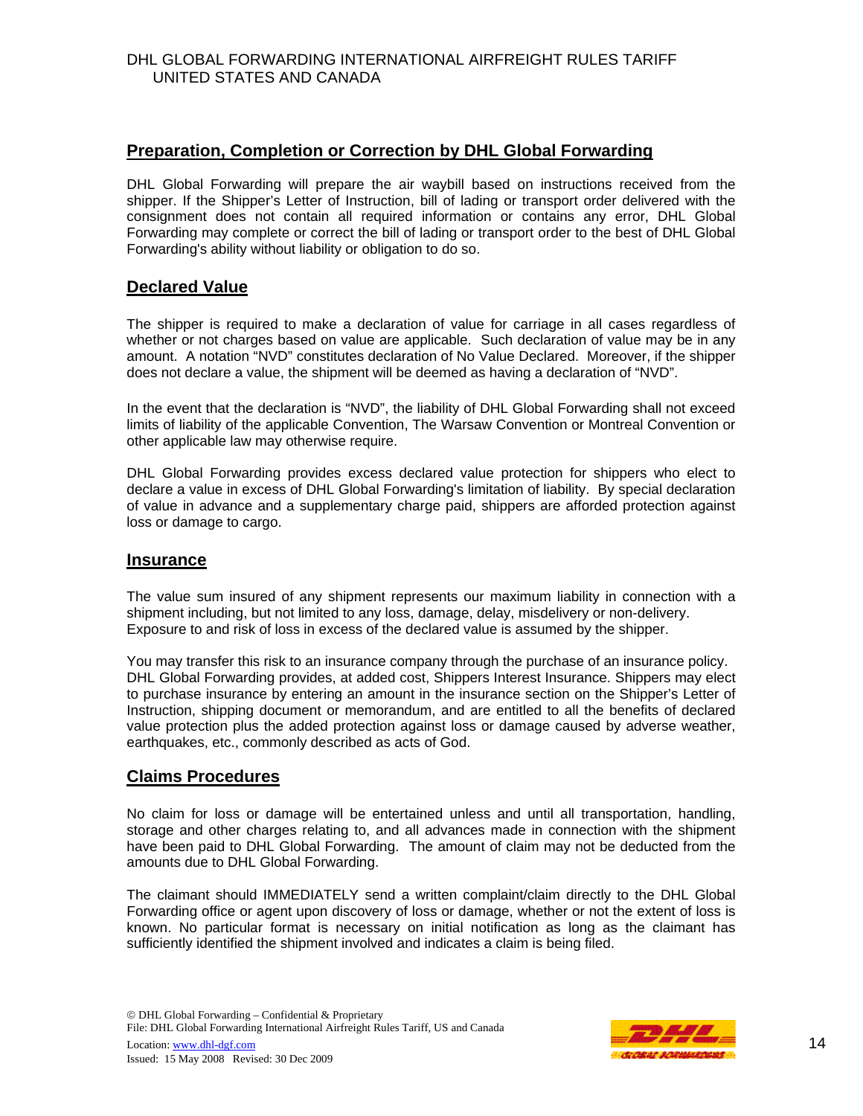# **Preparation, Completion or Correction by DHL Global Forwarding**

DHL Global Forwarding will prepare the air waybill based on instructions received from the shipper. If the Shipper's Letter of Instruction, bill of lading or transport order delivered with the consignment does not contain all required information or contains any error, DHL Global Forwarding may complete or correct the bill of lading or transport order to the best of DHL Global Forwarding's ability without liability or obligation to do so.

#### **Declared Value**

The shipper is required to make a declaration of value for carriage in all cases regardless of whether or not charges based on value are applicable. Such declaration of value may be in any amount. A notation "NVD" constitutes declaration of No Value Declared. Moreover, if the shipper does not declare a value, the shipment will be deemed as having a declaration of "NVD".

In the event that the declaration is "NVD", the liability of DHL Global Forwarding shall not exceed limits of liability of the applicable Convention, The Warsaw Convention or Montreal Convention or other applicable law may otherwise require.

DHL Global Forwarding provides excess declared value protection for shippers who elect to declare a value in excess of DHL Global Forwarding's limitation of liability. By special declaration of value in advance and a supplementary charge paid, shippers are afforded protection against loss or damage to cargo.

#### **Insurance**

The value sum insured of any shipment represents our maximum liability in connection with a shipment including, but not limited to any loss, damage, delay, misdelivery or non-delivery. Exposure to and risk of loss in excess of the declared value is assumed by the shipper.

You may transfer this risk to an insurance company through the purchase of an insurance policy. DHL Global Forwarding provides, at added cost, Shippers Interest Insurance. Shippers may elect to purchase insurance by entering an amount in the insurance section on the Shipper's Letter of Instruction, shipping document or memorandum, and are entitled to all the benefits of declared value protection plus the added protection against loss or damage caused by adverse weather, earthquakes, etc., commonly described as acts of God.

## **Claims Procedures**

No claim for loss or damage will be entertained unless and until all transportation, handling, storage and other charges relating to, and all advances made in connection with the shipment have been paid to DHL Global Forwarding. The amount of claim may not be deducted from the amounts due to DHL Global Forwarding.

The claimant should IMMEDIATELY send a written complaint/claim directly to the DHL Global Forwarding office or agent upon discovery of loss or damage, whether or not the extent of loss is known. No particular format is necessary on initial notification as long as the claimant has sufficiently identified the shipment involved and indicates a claim is being filed.